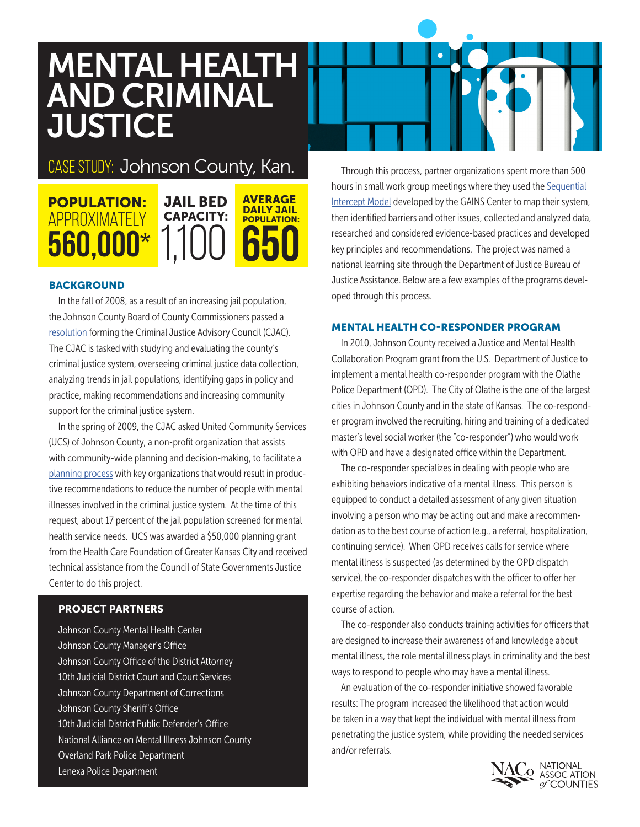# MENTAL HEALTH AND CRIMINAL **JUSTICE**

## Case Study: Johnson County, Kan.

#### POPULATION: Approximately 560,000\* JAIL BED CAPACITY: 1,100 AVERAGE DAILY JAIL POPULATION: 650

### **BACKGROUND**

In the fall of 2008, as a result of an increasing jail population, the Johnson County Board of County Commissioners passed a [resolution](http://www.jocogov.org/sites/default/files/documents/BOCC/Resolution%20No.%20025-08.pdf) forming the Criminal Justice Advisory Council (CJAC). The CJAC is tasked with studying and evaluating the county's criminal justice system, overseeing criminal justice data collection, analyzing trends in jail populations, identifying gaps in policy and practice, making recommendations and increasing community support for the criminal justice system.

In the spring of 2009, the CJAC asked United Community Services (UCS) of Johnson County, a non-profit organization that assists with community-wide planning and decision-making, to facilitate a [planning process](http://www.ucsjoco.org/wp-content/uploads/2012/02/Mental-Health-Criminal-Justice-Intercept-Dec.-2010.pdf) with key organizations that would result in productive recommendations to reduce the number of people with mental illnesses involved in the criminal justice system. At the time of this request, about 17 percent of the jail population screened for mental health service needs. UCS was awarded a \$50,000 planning grant from the Health Care Foundation of Greater Kansas City and received technical assistance from the Council of State Governments Justice Center to do this project.

### PROJECT PARTNERS

Johnson County Mental Health Center Johnson County Manager's Office Johnson County Office of the District Attorney 10th Judicial District Court and Court Services Johnson County Department of Corrections Johnson County Sheriff's Office 10th Judicial District Public Defender's Office National Alliance on Mental Illness Johnson County Overland Park Police Department Lenexa Police Department

Through this process, partner organizations spent more than 500 hours in small work group meetings where they used the Sequential [Intercept Model](http://gainscenter.samhsa.gov/cms-assets/documents/145789-100379.bh-sim-brochure.pdf) developed by the GAINS Center to map their system, then identified barriers and other issues, collected and analyzed data, researched and considered evidence-based practices and developed key principles and recommendations. The project was named a national learning site through the Department of Justice Bureau of Justice Assistance. Below are a few examples of the programs developed through this process.

#### MENTAL HEALTH CO-RESPONDER PROGRAM

In 2010, Johnson County received a Justice and Mental Health Collaboration Program grant from the U.S. Department of Justice to implement a mental health co-responder program with the Olathe Police Department (OPD). The City of Olathe is the one of the largest cities in Johnson County and in the state of Kansas. The co-responder program involved the recruiting, hiring and training of a dedicated master's level social worker (the "co-responder") who would work with OPD and have a designated office within the Department.

The co-responder specializes in dealing with people who are exhibiting behaviors indicative of a mental illness. This person is equipped to conduct a detailed assessment of any given situation involving a person who may be acting out and make a recommendation as to the best course of action (e.g., a referral, hospitalization, continuing service). When OPD receives calls for service where mental illness is suspected (as determined by the OPD dispatch service), the co-responder dispatches with the officer to offer her expertise regarding the behavior and make a referral for the best course of action.

The co-responder also conducts training activities for officers that are designed to increase their awareness of and knowledge about mental illness, the role mental illness plays in criminality and the best ways to respond to people who may have a mental illness.

An evaluation of the co-responder initiative showed favorable results: The program increased the likelihood that action would be taken in a way that kept the individual with mental illness from penetrating the justice system, while providing the needed services and/or referrals.